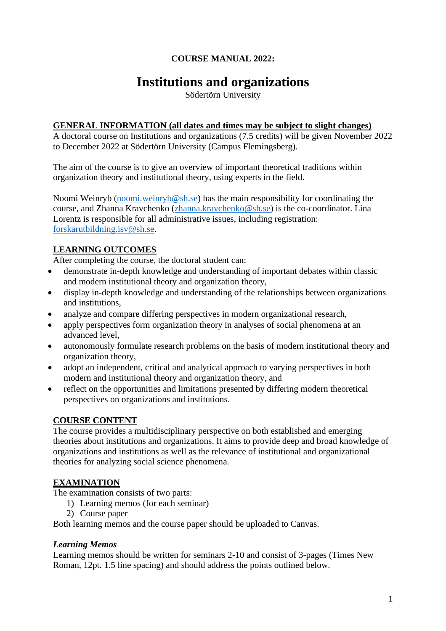# **COURSE MANUAL 2022:**

# **Institutions and organizations**

Södertörn University

#### **GENERAL INFORMATION (all dates and times may be subject to slight changes)**

A doctoral course on Institutions and organizations (7.5 credits) will be given November 2022 to December 2022 at Södertörn University (Campus Flemingsberg).

The aim of the course is to give an overview of important theoretical traditions within organization theory and institutional theory, using experts in the field.

Noomi Weinryb [\(noomi.weinryb@sh.se\)](mailto:noomi.weinryb@sh.se) has the main responsibility for coordinating the course, and Zhanna Kravchenko [\(zhanna.kravchenko@sh.se\)](mailto:zhanna.kravchenko@sh.se) is the co-coordinator. Lina Lorentz is responsible for all administrative issues, including registration: [forskarutbildning.isv@sh.se.](mailto:forskarutbildning.isv@sh.se)

# **LEARNING OUTCOMES**

After completing the course, the doctoral student can:

- demonstrate in-depth knowledge and understanding of important debates within classic and modern institutional theory and organization theory,
- display in-depth knowledge and understanding of the relationships between organizations and institutions,
- analyze and compare differing perspectives in modern organizational research,
- apply perspectives form organization theory in analyses of social phenomena at an advanced level,
- autonomously formulate research problems on the basis of modern institutional theory and organization theory,
- adopt an independent, critical and analytical approach to varying perspectives in both modern and institutional theory and organization theory, and
- reflect on the opportunities and limitations presented by differing modern theoretical perspectives on organizations and institutions.

# **COURSE CONTENT**

The course provides a multidisciplinary perspective on both established and emerging theories about institutions and organizations. It aims to provide deep and broad knowledge of organizations and institutions as well as the relevance of institutional and organizational theories for analyzing social science phenomena.

# **EXAMINATION**

The examination consists of two parts:

- 1) Learning memos (for each seminar)
- 2) Course paper

Both learning memos and the course paper should be uploaded to Canvas.

#### *Learning Memos*

Learning memos should be written for seminars 2-10 and consist of 3-pages (Times New Roman, 12pt. 1.5 line spacing) and should address the points outlined below.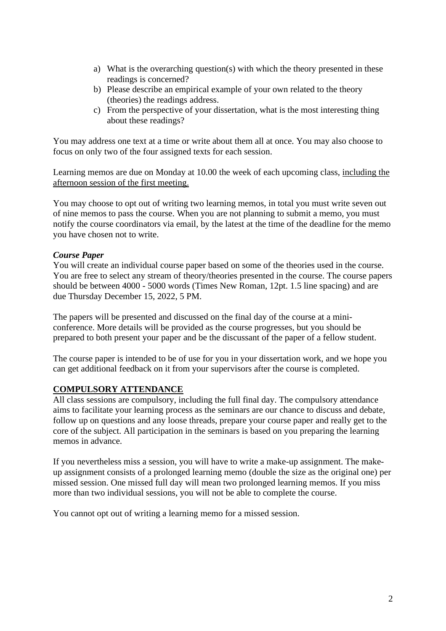- a) What is the overarching question(s) with which the theory presented in these readings is concerned?
- b) Please describe an empirical example of your own related to the theory (theories) the readings address.
- c) From the perspective of your dissertation, what is the most interesting thing about these readings?

You may address one text at a time or write about them all at once. You may also choose to focus on only two of the four assigned texts for each session.

Learning memos are due on Monday at 10.00 the week of each upcoming class, including the afternoon session of the first meeting.

You may choose to opt out of writing two learning memos, in total you must write seven out of nine memos to pass the course. When you are not planning to submit a memo, you must notify the course coordinators via email, by the latest at the time of the deadline for the memo you have chosen not to write.

#### *Course Paper*

You will create an individual course paper based on some of the theories used in the course. You are free to select any stream of theory/theories presented in the course. The course papers should be between 4000 - 5000 words (Times New Roman, 12pt. 1.5 line spacing) and are due Thursday December 15, 2022, 5 PM.

The papers will be presented and discussed on the final day of the course at a miniconference. More details will be provided as the course progresses, but you should be prepared to both present your paper and be the discussant of the paper of a fellow student.

The course paper is intended to be of use for you in your dissertation work, and we hope you can get additional feedback on it from your supervisors after the course is completed.

#### **COMPULSORY ATTENDANCE**

All class sessions are compulsory, including the full final day. The compulsory attendance aims to facilitate your learning process as the seminars are our chance to discuss and debate, follow up on questions and any loose threads, prepare your course paper and really get to the core of the subject. All participation in the seminars is based on you preparing the learning memos in advance.

If you nevertheless miss a session, you will have to write a make-up assignment. The makeup assignment consists of a prolonged learning memo (double the size as the original one) per missed session. One missed full day will mean two prolonged learning memos. If you miss more than two individual sessions, you will not be able to complete the course.

You cannot opt out of writing a learning memo for a missed session.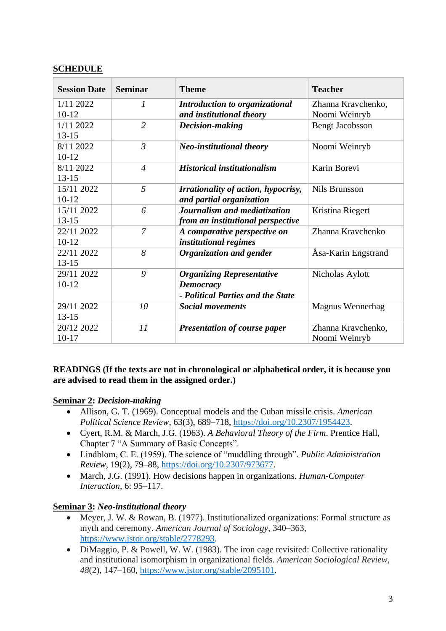## **SCHEDULE**

| <b>Session Date</b> | <b>Seminar</b> | <b>Theme</b>                        | <b>Teacher</b>          |
|---------------------|----------------|-------------------------------------|-------------------------|
| 1/11 2022           | 1              | Introduction to organizational      | Zhanna Kravchenko,      |
| $10 - 12$           |                | and institutional theory            | Noomi Weinryb           |
| 1/11 2022           | $\overline{2}$ | Decision-making                     | <b>Bengt Jacobsson</b>  |
| $13 - 15$           |                |                                     |                         |
| 8/11 2022           | $\mathfrak{Z}$ | <b>Neo-institutional theory</b>     | Noomi Weinryb           |
| $10-12$             |                |                                     |                         |
| 8/11 2022           | $\overline{4}$ | <b>Historical institutionalism</b>  | Karin Borevi            |
| $13 - 15$           |                |                                     |                         |
| 15/11 2022          | 5              | Irrationality of action, hypocrisy, | <b>Nils Brunsson</b>    |
| $10-12$             |                | and partial organization            |                         |
| 15/11 2022          | 6              | Journalism and mediatization        | Kristina Riegert        |
| $13 - 15$           |                | from an institutional perspective   |                         |
| 22/11 2022          | $\overline{7}$ | A comparative perspective on        | Zhanna Kravchenko       |
| $10-12$             |                | institutional regimes               |                         |
| 22/11 2022          | 8              | Organization and gender             | Åsa-Karin Engstrand     |
| $13 - 15$           |                |                                     |                         |
| 29/11 2022          | 9              | <b>Organizing Representative</b>    | Nicholas Aylott         |
| $10 - 12$           |                | Democracy                           |                         |
|                     |                | - Political Parties and the State   |                         |
| 29/11 2022          | 10             | <b>Social movements</b>             | <b>Magnus Wennerhag</b> |
| $13 - 15$           |                |                                     |                         |
| 20/12 2022          | 11             | <b>Presentation of course paper</b> | Zhanna Kravchenko,      |
| $10-17$             |                |                                     | Noomi Weinryb           |

## **READINGS (If the texts are not in chronological or alphabetical order, it is because you are advised to read them in the assigned order.)**

#### **Seminar 2:** *Decision-making*

- Allison, G. T. (1969). Conceptual models and the Cuban missile crisis. *American Political Science Review*, 63(3), 689–718, [https://doi.org/10.2307/1954423.](https://doi.org/10.2307/1954423)
- Cyert, R.M. & March, J.G. (1963). *A Behavioral Theory of the Firm*. Prentice Hall, Chapter 7 "A Summary of Basic Concepts".
- Lindblom, C. E. (1959). The science of "muddling through". *Public Administration Review*, 19(2), 79–88, [https://doi.org/10.2307/973677.](https://doi.org/10.2307/973677)
- March, J.G. (1991). How decisions happen in organizations. *Human-Computer Interaction*, 6: 95–117.

#### **Seminar 3:** *Neo-institutional theory*

- Meyer, J. W. & Rowan, B. (1977). Institutionalized organizations: Formal structure as myth and ceremony. *American Journal of Sociology*, 340–363, [https://www.jstor.org/stable/2778293.](https://www.jstor.org/stable/2778293)
- DiMaggio, P. & Powell, W. W. (1983). The iron cage revisited: Collective rationality and institutional isomorphism in organizational fields. *American Sociological Review*, *48*(2), 147–160, [https://www.jstor.org/stable/2095101.](https://www.jstor.org/stable/2095101)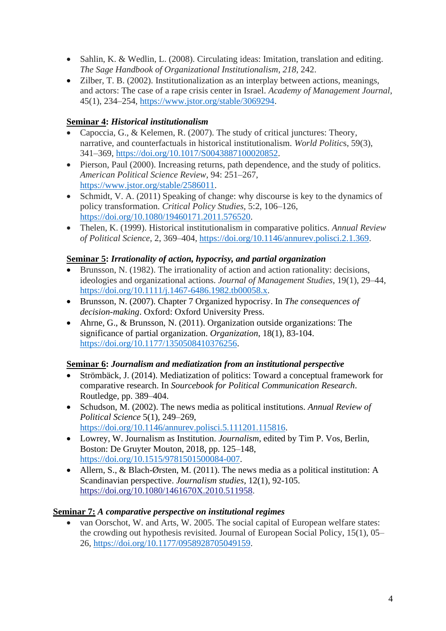- Sahlin, K. & Wedlin, L. (2008). Circulating ideas: Imitation, translation and editing. *The Sage Handbook of Organizational Institutionalism*, *218*, 242.
- Zilber, T. B. (2002). Institutionalization as an interplay between actions, meanings, and actors: The case of a rape crisis center in Israel. *Academy of Management Journal*, 45(1), 234–254, [https://www.jstor.org/stable/3069294.](https://www.jstor.org/stable/3069294)

# **Seminar 4:** *Historical institutionalism*

- Capoccia, G., & Kelemen, R. (2007). The study of critical junctures: Theory, narrative, and counterfactuals in historical institutionalism. *World Politic*s, 59(3), 341–369, [https://doi.org/10.1017/S0043887100020852.](https://doi.org/10.1017/S0043887100020852)
- Pierson, Paul (2000). Increasing returns, path dependence, and the study of politics. *American Political Science Review*, 94: 251–267, [https://www.jstor.org/stable/2586011.](https://www.jstor.org/stable/2586011)
- Schmidt, V. A. (2011) Speaking of change: why discourse is key to the dynamics of policy transformation. *Critical Policy Studies*, 5:2, 106–126, [https://doi.org/10.1080/19460171.2011.576520.](https://doi.org/10.1080/19460171.2011.576520)
- Thelen, K. (1999). Historical institutionalism in comparative politics. *Annual Review of Political Science*, 2, 369–404, [https://doi.org/10.1146/annurev.polisci.2.1.369.](https://doi.org/10.1146/annurev.polisci.2.1.369)

# **Seminar 5:** *Irrationality of action, hypocrisy, and partial organization*

- Brunsson, N. (1982). The irrationality of action and action rationality: decisions, ideologies and organizational actions. *Journal of Management Studies*, 19(1), 29–44, [https://doi.org/10.1111/j.1467-6486.1982.tb00058.x.](https://doi.org/10.1111/j.1467-6486.1982.tb00058.x)
- Brunsson, N. (2007). Chapter 7 Organized hypocrisy. In *The consequences of decision-making*. Oxford: Oxford University Press.
- Ahrne, G., & Brunsson, N. (2011). Organization outside organizations: The significance of partial organization. *Organization*, 18(1), 83-104. [https://doi.org/10.1177/1350508410376256.](https://doi.org/10.1177%2F1350508410376256)

# **Seminar 6:** *Journalism and mediatization from an institutional perspective*

- Strömbäck, J. (2014). Mediatization of politics: Toward a conceptual framework for comparative research. In *Sourcebook for Political Communication Research*. Routledge, pp. 389–404.
- Schudson, M. (2002). The news media as political institutions. *Annual Review of Political Science* 5(1), 249–269, [https://doi.org/10.1146/annurev.polisci.5.111201.115816.](https://doi.org/10.1146/annurev.polisci.5.111201.115816)
- Lowrey, W. Journalism as Institution. *Journalism*, edited by Tim P. Vos, Berlin, Boston: De Gruyter Mouton, 2018, pp. 125–148, [https://doi.org/10.1515/9781501500084-007.](https://doi.org/10.1515/9781501500084-007)
- Allern, S., & Blach-Ørsten, M. (2011). The news media as a political institution: A Scandinavian perspective. *Journalism studies*, 12(1), 92-105. [https://doi.org/10.1080/1461670X.2010.511958.](https://doi.org/10.1080/1461670X.2010.511958)

# **Seminar 7:** *A comparative perspective on institutional regimes*

• van Oorschot, W. and Arts, W. 2005. The social capital of European welfare states: the crowding out hypothesis revisited. Journal of European Social Policy, 15(1), 05– 26, [https://doi.org/10.1177/0958928705049159.](https://doi.org/10.1177/0958928705049159)